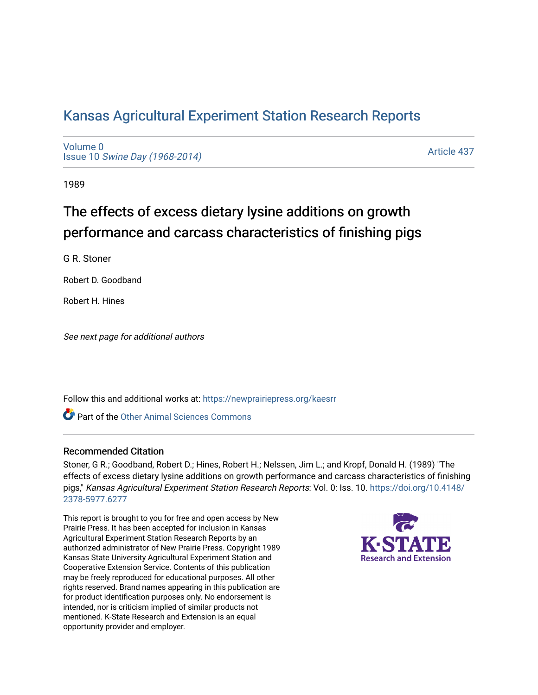# [Kansas Agricultural Experiment Station Research Reports](https://newprairiepress.org/kaesrr)

[Volume 0](https://newprairiepress.org/kaesrr/vol0) Issue 10 [Swine Day \(1968-2014\)](https://newprairiepress.org/kaesrr/vol0/iss10)

[Article 437](https://newprairiepress.org/kaesrr/vol0/iss10/437) 

1989

# The effects of excess dietary lysine additions on growth performance and carcass characteristics of finishing pigs

G R. Stoner

Robert D. Goodband

Robert H. Hines

See next page for additional authors

Follow this and additional works at: [https://newprairiepress.org/kaesrr](https://newprairiepress.org/kaesrr?utm_source=newprairiepress.org%2Fkaesrr%2Fvol0%2Fiss10%2F437&utm_medium=PDF&utm_campaign=PDFCoverPages) 

Part of the [Other Animal Sciences Commons](http://network.bepress.com/hgg/discipline/82?utm_source=newprairiepress.org%2Fkaesrr%2Fvol0%2Fiss10%2F437&utm_medium=PDF&utm_campaign=PDFCoverPages)

### Recommended Citation

Stoner, G R.; Goodband, Robert D.; Hines, Robert H.; Nelssen, Jim L.; and Kropf, Donald H. (1989) "The effects of excess dietary lysine additions on growth performance and carcass characteristics of finishing pigs," Kansas Agricultural Experiment Station Research Reports: Vol. 0: Iss. 10. [https://doi.org/10.4148/](https://doi.org/10.4148/2378-5977.6277) [2378-5977.6277](https://doi.org/10.4148/2378-5977.6277) 

This report is brought to you for free and open access by New Prairie Press. It has been accepted for inclusion in Kansas Agricultural Experiment Station Research Reports by an authorized administrator of New Prairie Press. Copyright 1989 Kansas State University Agricultural Experiment Station and Cooperative Extension Service. Contents of this publication may be freely reproduced for educational purposes. All other rights reserved. Brand names appearing in this publication are for product identification purposes only. No endorsement is intended, nor is criticism implied of similar products not mentioned. K-State Research and Extension is an equal opportunity provider and employer.

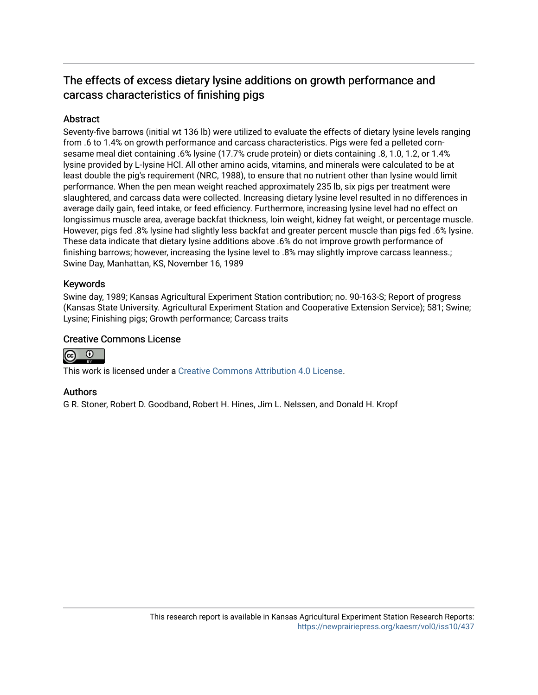# The effects of excess dietary lysine additions on growth performance and carcass characteristics of finishing pigs

## **Abstract**

Seventy-five barrows (initial wt 136 lb) were utilized to evaluate the effects of dietary lysine levels ranging from .6 to 1.4% on growth performance and carcass characteristics. Pigs were fed a pelleted cornsesame meal diet containing .6% lysine (17.7% crude protein) or diets containing .8, 1.0, 1.2, or 1.4% lysine provided by L-Iysine HCl. All other amino acids, vitamins, and minerals were calculated to be at least double the pig's requirement (NRC, 1988), to ensure that no nutrient other than lysine would limit performance. When the pen mean weight reached approximately 235 lb, six pigs per treatment were slaughtered, and carcass data were collected. Increasing dietary lysine level resulted in no differences in average daily gain, feed intake, or feed efficiency. Furthermore, increasing lysine level had no effect on longissimus muscle area, average backfat thickness, loin weight, kidney fat weight, or percentage muscle. However, pigs fed .8% lysine had slightly less backfat and greater percent muscle than pigs fed .6% lysine. These data indicate that dietary lysine additions above .6% do not improve growth performance of finishing barrows; however, increasing the lysine level to .8% may slightly improve carcass leanness.; Swine Day, Manhattan, KS, November 16, 1989

### Keywords

Swine day, 1989; Kansas Agricultural Experiment Station contribution; no. 90-163-S; Report of progress (Kansas State University. Agricultural Experiment Station and Cooperative Extension Service); 581; Swine; Lysine; Finishing pigs; Growth performance; Carcass traits

### Creative Commons License



This work is licensed under a [Creative Commons Attribution 4.0 License](https://creativecommons.org/licenses/by/4.0/).

### Authors

G R. Stoner, Robert D. Goodband, Robert H. Hines, Jim L. Nelssen, and Donald H. Kropf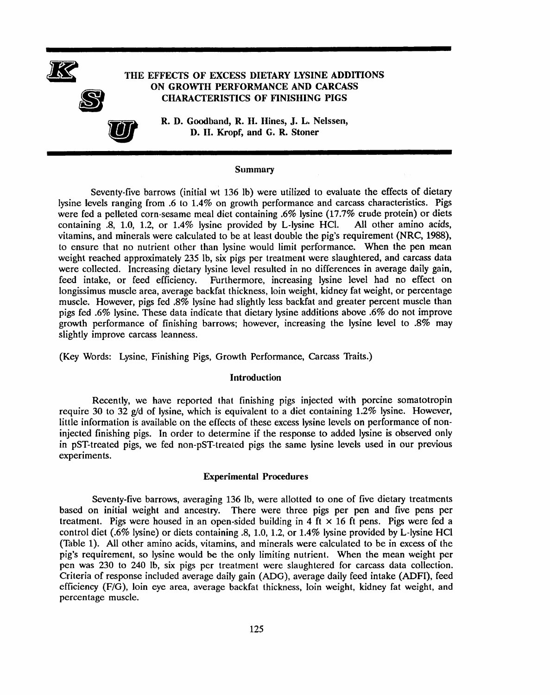

#### **Summary**

Seventy-five barrows (initial wt 136 lb) were utilized to evaluate the effects of dietary lysine levels ranging from .6 to 1.4% on growth performance and carcass characteristics. Pigs were fed a pelleted corn-sesame meal diet containing .6% lysine (17.7% crude protein) or diets containing 8, 1.0, 1.2, or 1.4% lysine provided by L-lysine HCl. All other amino acids, vitamins, and minerals were calculated to be at least double the pig's requirement (NRC, 1988), to ensure that no nutrient other than lysine would limit performance. When the pen mean weight reached approximately 235 lb, six pigs per treatment were slaughtered, and carcass data were collected. Increasing dietary lysine level resulted in no differences in average daily gain, feed intake, or feed efficiency. Furthermore, increasing lysine level had no effect on longissimus muscle area, average backfat thickness, loin weight, kidney fat weight, or percentage muscle. However, pigs fed .8% lysine had slightly less backfat and greater percent muscle than pigs fed .6% lysine. These data indicate that dietary lysine additions above .6% do not improve growth performance of finishing barrows; however, increasing the lysine level to  $.8\%$  may slightly improve carcass leanness.

(Key Words: Lysine, Finishing Pigs, Growth Performance, Carcass Traits.)

#### Introduction

Recently, we have reported that finishing pigs injected with porcine somatotropin require 30 to 32 g/d of lysine, which is equivalent to a diet containing 1.2% lysine. However, little information is available on the effects of these excess lysine levels on performance of noninjected finishing pigs. In order to determine if the response to added lysine is observed only in pST-treated pigs, we fed non-pST-treated pigs the same lysine levels used in our previous experiments.

#### **Experimental Procedures**

Seventy-five barrows, averaging 136 lb, were allotted to one of five dietary treatments based on initial weight and ancestry. There were three pigs per pen and five pens per treatment. Pigs were housed in an open-sided building in 4 ft  $\times$  16 ft pens. Pigs were fed a control diet (.6% lysine) or diets containing .8, 1.0, 1.2, or 1.4% lysine provided by L-lysine HCl (Table 1). All other amino acids, vitamins, and minerals were calculated to be in excess of the pig's requirement, so lysine would be the only limiting nutrient. When the mean weight per pen was 230 to 240 lb, six pigs per treatment were slaughtered for carcass data collection. Criteria of response included average daily gain (ADG), average daily feed intake (ADFI), feed efficiency (F/G), loin eye area, average backfat thickness, loin weight, kidney fat weight, and percentage muscle.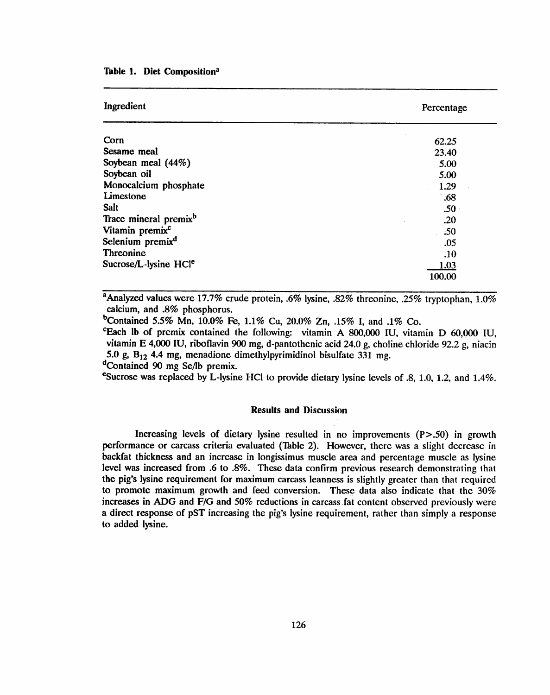Table 1. Diet Composition<sup>a</sup>

| Ingredient                        | Percentage |
|-----------------------------------|------------|
| Corn                              | 62.25      |
| Sesame meal                       | 23.40      |
| Soybean meal (44%)                | 5.00       |
| Soybean oil                       | 5.00       |
| Monocalcium phosphate             | 1.29       |
| Limestone                         | .68        |
| <b>Salt</b>                       | .50        |
| Trace mineral premix <sup>b</sup> | .20        |
| Vitamin premix <sup>c</sup>       | .50        |
| Selenium premix <sup>d</sup>      | .05        |
| Threonine                         | .10        |
| Sucrose/L-lysine HCle             | 1.03       |
|                                   | 100.00     |

<sup>a</sup>Analyzed values were 17.7% crude protein, .6% lysine, .82% threonine, .25% tryptophan, 1.0% calcium, and .8% phosphorus.

<sup>b</sup>Contained 5.5% Mn, 10.0% Fe, 1.1% Cu, 20.0% Zn, .15% I, and .1% Co.

<sup>c</sup>Each lb of premix contained the following: vitamin A 800,000 IU, vitamin D 60,000 IU, vitamin E 4,000 IU, riboflavin 900 mg, d-pantothenic acid 24.0 g, choline chloride 92.2 g, niacin 5.0 g,  $B_{12}$  4.4 mg, menadione dimethylpyrimidinol bisulfate 331 mg.

<sup>d</sup>Contained 90 mg Se/lb premix.

<sup>e</sup>Sucrose was replaced by L-lysine HCl to provide dietary lysine levels of .8, 1.0, 1.2, and 1.4%.

#### **Results and Discussion**

Increasing levels of dietary lysine resulted in no improvements  $(P > .50)$  in growth performance or carcass criteria evaluated (Table 2). However, there was a slight decrease in backfat thickness and an increase in longissimus muscle area and percentage muscle as lysine level was increased from .6 to .8%. These data confirm previous research demonstrating that the pig's lysine requirement for maximum carcass leanness is slightly greater than that required to promote maximum growth and feed conversion. These data also indicate that the 30% increases in ADG and F/G and 50% reductions in carcass fat content observed previously were a direct response of pST increasing the pig's lysine requirement, rather than simply a response to added lysine.